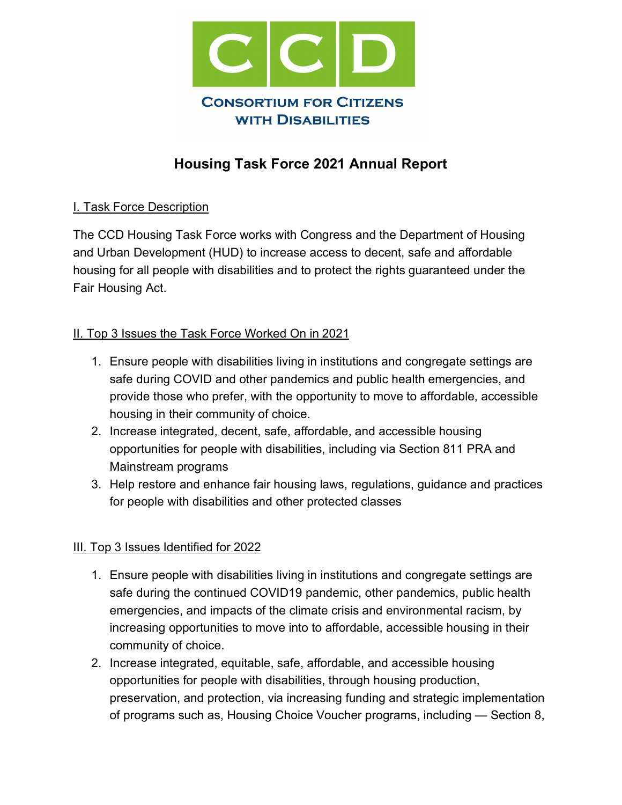

# **Housing Task Force 2021 Annual Report**

## I. Task Force Description

The CCD Housing Task Force works with Congress and the Department of Housing and Urban Development (HUD) to increase access to decent, safe and affordable housing for all people with disabilities and to protect the rights guaranteed under the Fair Housing Act.

#### II. Top 3 Issues the Task Force Worked On in 2021

- 1. Ensure people with disabilities living in institutions and congregate settings are safe during COVID and other pandemics and public health emergencies, and provide those who prefer, with the opportunity to move to affordable, accessible housing in their community of choice.
- 2. Increase integrated, decent, safe, affordable, and accessible housing opportunities for people with disabilities, including via Section 811 PRA and Mainstream programs
- 3. Help restore and enhance fair housing laws, regulations, guidance and practices for people with disabilities and other protected classes

#### III. Top 3 Issues Identified for 2022

- 1. Ensure people with disabilities living in institutions and congregate settings are safe during the continued COVID19 pandemic, other pandemics, public health emergencies, and impacts of the climate crisis and environmental racism, by increasing opportunities to move into to affordable, accessible housing in their community of choice.
- 2. Increase integrated, equitable, safe, affordable, and accessible housing opportunities for people with disabilities, through housing production, preservation, and protection, via increasing funding and strategic implementation of programs such as, Housing Choice Voucher programs, including — Section 8,